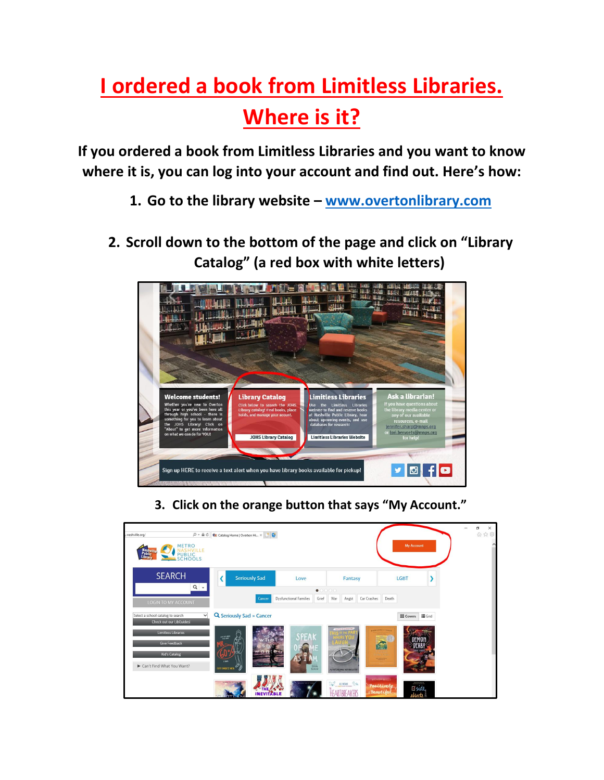## **I ordered a book from Limitless Libraries. Where is it?**

**If you ordered a book from Limitless Libraries and you want to know where it is, you can log into your account and find out. Here's how:**

- **1. Go to the library website – [www.overtonlibrary.com](http://www.overtonlibrary.com/)**
- **2. Scroll down to the bottom of the page and click on "Library Catalog" (a red box with white letters)**



**3. Click on the orange button that says "My Account."**

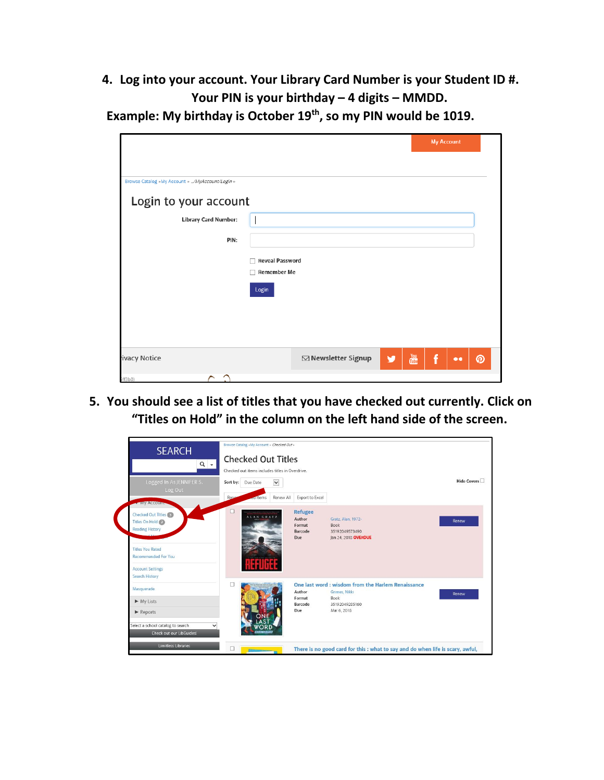**4. Log into your account. Your Library Card Number is your Student ID #. Your PIN is your birthday – 4 digits – MMDD.**

**Example: My birthday is October 19th, so my PIN would be 1019.**

|                                                 |                        |                     |   |                                    | <b>My Account</b> |                  |   |
|-------------------------------------------------|------------------------|---------------------|---|------------------------------------|-------------------|------------------|---|
|                                                 |                        |                     |   |                                    |                   |                  |   |
| Browse Catalog »My Account » /MyAccount/Login » |                        |                     |   |                                    |                   |                  |   |
| Login to your account                           |                        |                     |   |                                    |                   |                  |   |
| <b>Library Card Number:</b>                     |                        |                     |   |                                    |                   |                  |   |
| PIN:                                            |                        |                     |   |                                    |                   |                  |   |
|                                                 | <b>Reveal Password</b> |                     |   |                                    |                   |                  |   |
|                                                 | <b>Remember Me</b>     |                     |   |                                    |                   |                  |   |
|                                                 | Login                  |                     |   |                                    |                   |                  |   |
|                                                 |                        |                     |   |                                    |                   |                  |   |
|                                                 |                        |                     |   |                                    |                   |                  |   |
| ivacy Notice                                    |                        | ⊠ Newsletter Signup | v | $\frac{\gamma_{\rm out}}{\rm CDE}$ | f                 | $\bullet\bullet$ | ၜ |
| ≏<br>ff3b8                                      |                        |                     |   |                                    |                   |                  |   |

**5. You should see a list of titles that you have checked out currently. Click on "Titles on Hold" in the column on the left hand side of the screen.**

| <b>SEARCH</b><br>$Q -$                                                                                                                                                      | Browse Catalog »My Account » Checked Out »<br><b>Checked Out Titles</b><br>Checked out items includes titles in Overdrive. |                          |                                                      |                                                                                                              |             |
|-----------------------------------------------------------------------------------------------------------------------------------------------------------------------------|----------------------------------------------------------------------------------------------------------------------------|--------------------------|------------------------------------------------------|--------------------------------------------------------------------------------------------------------------|-------------|
| Logged In As JENNIFER S.<br>Log Out<br><b>WIV ACCOUNTS</b>                                                                                                                  | Sort by: Due Date<br>Rene<br><b>ed Items</b>                                                                               | $\check{ }$<br>Renew All | Export to Excel                                      |                                                                                                              | Hide Covers |
| Checked Out Titles<br>Titles On Hold<br><b>Reading History</b><br><b>Titles You Rated</b><br><b>Recommended For You</b><br><b>Account Settings</b><br><b>Search History</b> | г<br>ALAN GRATZ                                                                                                            |                          | <b>Refugee</b><br>Author<br>Format<br>Barcode<br>Due | Gratz, Alan, 1972-<br>Book<br>35192049573490<br>Jan 24, 2018 OVERDUE                                         | Renew       |
| Masquerade<br>$\blacktriangleright$ My Lists<br>$\blacktriangleright$ Reports<br>Select a school catalog to search<br>Check out our LibGuides!                              | <b>NET GRIND</b>                                                                                                           |                          | Author<br>Format<br>Barcode<br>Due                   | One last word : wisdom from the Harlem Renaissance<br>Grimes, Nikki<br>Book<br>35192049285160<br>Mar 6, 2018 | Renew       |
| <b>Limitless Libraries</b>                                                                                                                                                  | п                                                                                                                          |                          |                                                      | There is no good card for this : what to say and do when life is scary, awful,                               |             |